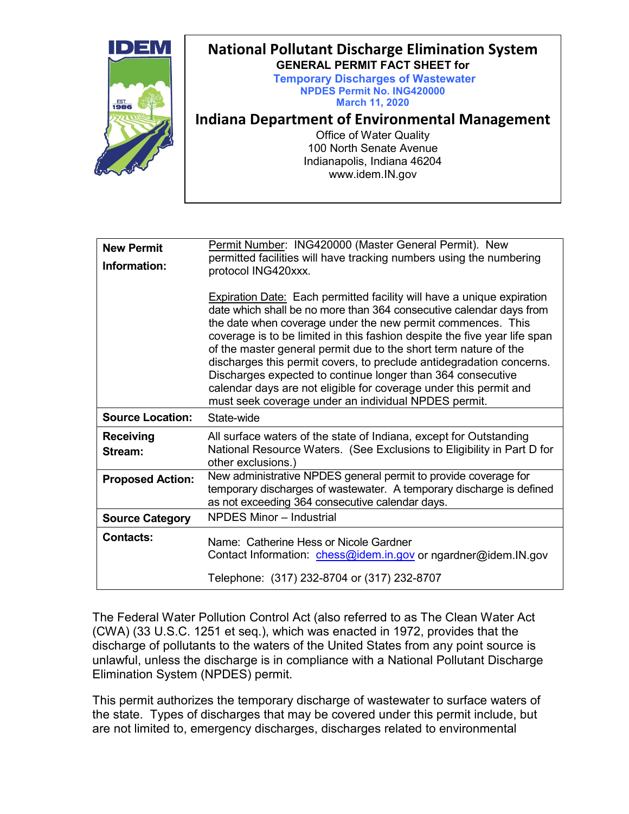

| <b>New Permit</b><br>Information: | Permit Number: ING420000 (Master General Permit). New<br>permitted facilities will have tracking numbers using the numbering<br>protocol ING420xxx.                                                                                                                                                                                                                                                                                                                                                                                                                                                                                      |
|-----------------------------------|------------------------------------------------------------------------------------------------------------------------------------------------------------------------------------------------------------------------------------------------------------------------------------------------------------------------------------------------------------------------------------------------------------------------------------------------------------------------------------------------------------------------------------------------------------------------------------------------------------------------------------------|
|                                   | <b>Expiration Date:</b> Each permitted facility will have a unique expiration<br>date which shall be no more than 364 consecutive calendar days from<br>the date when coverage under the new permit commences. This<br>coverage is to be limited in this fashion despite the five year life span<br>of the master general permit due to the short term nature of the<br>discharges this permit covers, to preclude antidegradation concerns.<br>Discharges expected to continue longer than 364 consecutive<br>calendar days are not eligible for coverage under this permit and<br>must seek coverage under an individual NPDES permit. |
| <b>Source Location:</b>           | State-wide                                                                                                                                                                                                                                                                                                                                                                                                                                                                                                                                                                                                                               |
| <b>Receiving</b><br>Stream:       | All surface waters of the state of Indiana, except for Outstanding<br>National Resource Waters. (See Exclusions to Eligibility in Part D for<br>other exclusions.)                                                                                                                                                                                                                                                                                                                                                                                                                                                                       |
| <b>Proposed Action:</b>           | New administrative NPDES general permit to provide coverage for<br>temporary discharges of wastewater. A temporary discharge is defined<br>as not exceeding 364 consecutive calendar days.                                                                                                                                                                                                                                                                                                                                                                                                                                               |
| <b>Source Category</b>            | <b>NPDES Minor - Industrial</b>                                                                                                                                                                                                                                                                                                                                                                                                                                                                                                                                                                                                          |
| <b>Contacts:</b>                  | Name: Catherine Hess or Nicole Gardner<br>Contact Information: <i>chess@idem.in.gov</i> or ngardner@idem.IN.gov                                                                                                                                                                                                                                                                                                                                                                                                                                                                                                                          |
|                                   | Telephone: (317) 232-8704 or (317) 232-8707                                                                                                                                                                                                                                                                                                                                                                                                                                                                                                                                                                                              |

The Federal Water Pollution Control Act (also referred to as The Clean Water Act (CWA) (33 U.S.C. 1251 et seq.), which was enacted in 1972, provides that the discharge of pollutants to the waters of the United States from any point source is unlawful, unless the discharge is in compliance with a National Pollutant Discharge Elimination System (NPDES) permit.

This permit authorizes the temporary discharge of wastewater to surface waters of the state. Types of discharges that may be covered under this permit include, but are not limited to, emergency discharges, discharges related to environmental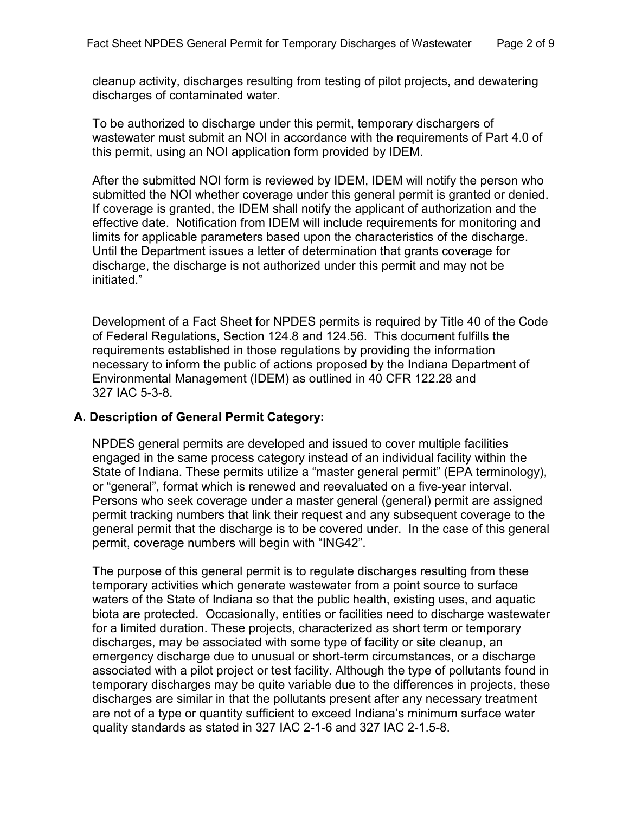cleanup activity, discharges resulting from testing of pilot projects, and dewatering discharges of contaminated water.

To be authorized to discharge under this permit, temporary dischargers of wastewater must submit an NOI in accordance with the requirements of Part 4.0 of this permit, using an NOI application form provided by IDEM.

After the submitted NOI form is reviewed by IDEM, IDEM will notify the person who submitted the NOI whether coverage under this general permit is granted or denied. If coverage is granted, the IDEM shall notify the applicant of authorization and the effective date. Notification from IDEM will include requirements for monitoring and limits for applicable parameters based upon the characteristics of the discharge. Until the Department issues a letter of determination that grants coverage for discharge, the discharge is not authorized under this permit and may not be initiated."

Development of a Fact Sheet for NPDES permits is required by Title 40 of the Code of Federal Regulations, Section 124.8 and 124.56. This document fulfills the requirements established in those regulations by providing the information necessary to inform the public of actions proposed by the Indiana Department of Environmental Management (IDEM) as outlined in 40 CFR 122.28 and 327 IAC 5-3-8.

## **A. Description of General Permit Category:**

NPDES general permits are developed and issued to cover multiple facilities engaged in the same process category instead of an individual facility within the State of Indiana. These permits utilize a "master general permit" (EPA terminology), or "general", format which is renewed and reevaluated on a five-year interval. Persons who seek coverage under a master general (general) permit are assigned permit tracking numbers that link their request and any subsequent coverage to the general permit that the discharge is to be covered under. In the case of this general permit, coverage numbers will begin with "ING42".

The purpose of this general permit is to regulate discharges resulting from these temporary activities which generate wastewater from a point source to surface waters of the State of Indiana so that the public health, existing uses, and aquatic biota are protected. Occasionally, entities or facilities need to discharge wastewater for a limited duration. These projects, characterized as short term or temporary discharges, may be associated with some type of facility or site cleanup, an emergency discharge due to unusual or short-term circumstances, or a discharge associated with a pilot project or test facility. Although the type of pollutants found in temporary discharges may be quite variable due to the differences in projects, these discharges are similar in that the pollutants present after any necessary treatment are not of a type or quantity sufficient to exceed Indiana's minimum surface water quality standards as stated in 327 IAC 2-1-6 and 327 IAC 2-1.5-8.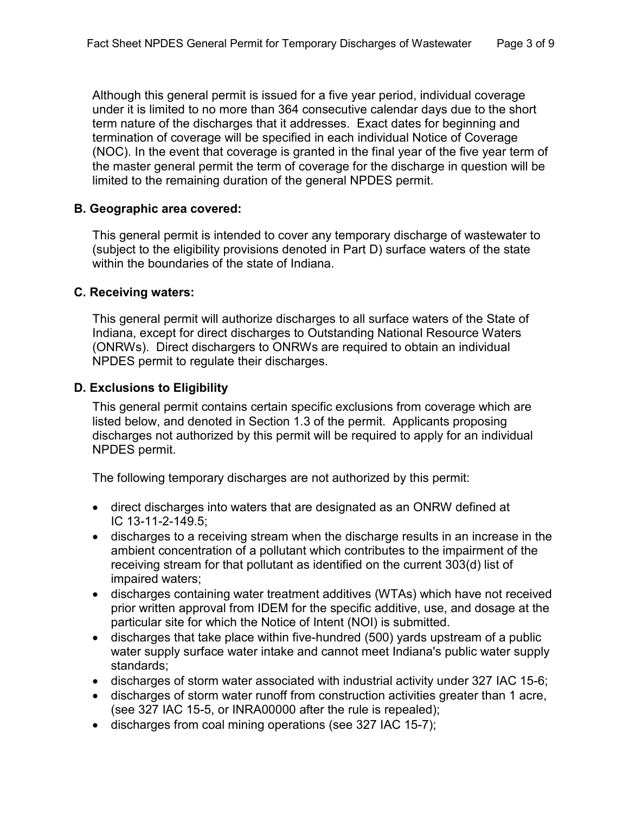Although this general permit is issued for a five year period, individual coverage under it is limited to no more than 364 consecutive calendar days due to the short term nature of the discharges that it addresses. Exact dates for beginning and termination of coverage will be specified in each individual Notice of Coverage (NOC). In the event that coverage is granted in the final year of the five year term of the master general permit the term of coverage for the discharge in question will be limited to the remaining duration of the general NPDES permit.

## **B. Geographic area covered:**

This general permit is intended to cover any temporary discharge of wastewater to (subject to the eligibility provisions denoted in Part D) surface waters of the state within the boundaries of the state of Indiana.

## **C. Receiving waters:**

This general permit will authorize discharges to all surface waters of the State of Indiana, except for direct discharges to Outstanding National Resource Waters (ONRWs). Direct dischargers to ONRWs are required to obtain an individual NPDES permit to regulate their discharges.

# **D. Exclusions to Eligibility**

This general permit contains certain specific exclusions from coverage which are listed below, and denoted in Section 1.3 of the permit. Applicants proposing discharges not authorized by this permit will be required to apply for an individual NPDES permit.

The following temporary discharges are not authorized by this permit:

- direct discharges into waters that are designated as an ONRW defined at IC 13-11-2-149.5;
- discharges to a receiving stream when the discharge results in an increase in the ambient concentration of a pollutant which contributes to the impairment of the receiving stream for that pollutant as identified on the current 303(d) list of impaired waters;
- discharges containing water treatment additives (WTAs) which have not received prior written approval from IDEM for the specific additive, use, and dosage at the particular site for which the Notice of Intent (NOI) is submitted.
- discharges that take place within five-hundred (500) yards upstream of a public water supply surface water intake and cannot meet Indiana's public water supply standards;
- discharges of storm water associated with industrial activity under 327 IAC 15-6;
- discharges of storm water runoff from construction activities greater than 1 acre, (see 327 IAC 15-5, or INRA00000 after the rule is repealed);
- discharges from coal mining operations (see 327 IAC 15-7);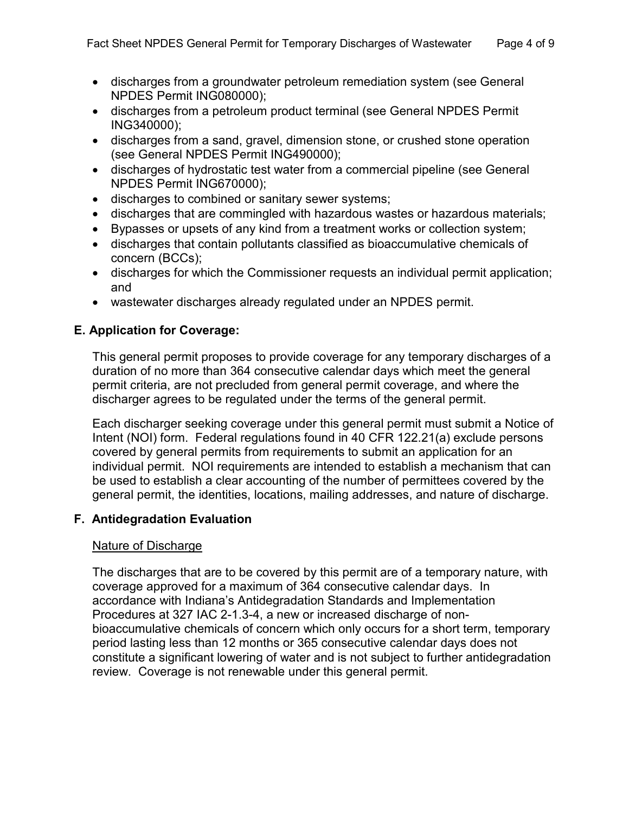- discharges from a groundwater petroleum remediation system (see General NPDES Permit ING080000);
- discharges from a petroleum product terminal (see General NPDES Permit ING340000);
- discharges from a sand, gravel, dimension stone, or crushed stone operation (see General NPDES Permit ING490000);
- discharges of hydrostatic test water from a commercial pipeline (see General NPDES Permit ING670000);
- discharges to combined or sanitary sewer systems;
- discharges that are commingled with hazardous wastes or hazardous materials;
- Bypasses or upsets of any kind from a treatment works or collection system;
- discharges that contain pollutants classified as bioaccumulative chemicals of concern (BCCs);
- discharges for which the Commissioner requests an individual permit application; and
- wastewater discharges already regulated under an NPDES permit.

# **E. Application for Coverage:**

This general permit proposes to provide coverage for any temporary discharges of a duration of no more than 364 consecutive calendar days which meet the general permit criteria, are not precluded from general permit coverage, and where the discharger agrees to be regulated under the terms of the general permit.

Each discharger seeking coverage under this general permit must submit a Notice of Intent (NOI) form. Federal regulations found in 40 CFR 122.21(a) exclude persons covered by general permits from requirements to submit an application for an individual permit. NOI requirements are intended to establish a mechanism that can be used to establish a clear accounting of the number of permittees covered by the general permit, the identities, locations, mailing addresses, and nature of discharge.

# **F. Antidegradation Evaluation**

# Nature of Discharge

The discharges that are to be covered by this permit are of a temporary nature, with coverage approved for a maximum of 364 consecutive calendar days. In accordance with Indiana's Antidegradation Standards and Implementation Procedures at 327 IAC 2-1.3-4, a new or increased discharge of nonbioaccumulative chemicals of concern which only occurs for a short term, temporary period lasting less than 12 months or 365 consecutive calendar days does not constitute a significant lowering of water and is not subject to further antidegradation review. Coverage is not renewable under this general permit.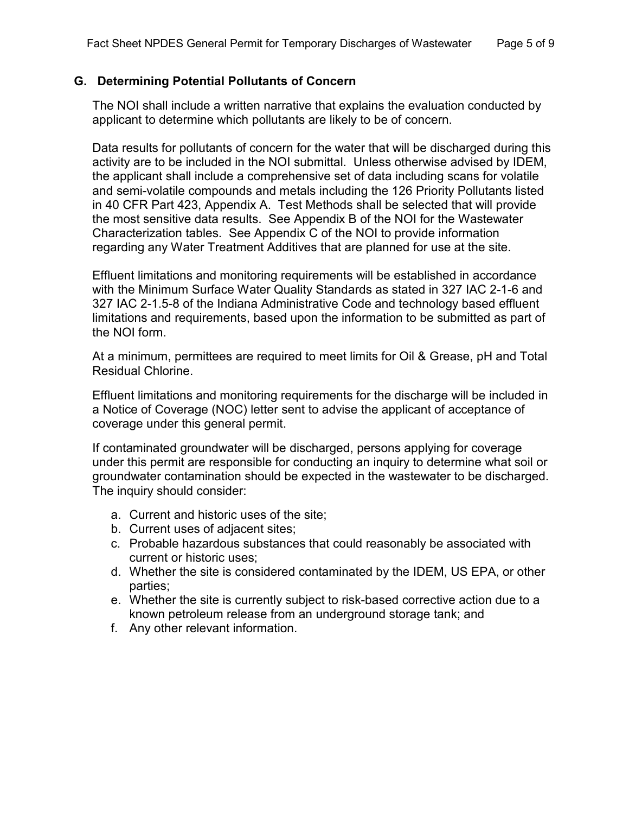# **G. Determining Potential Pollutants of Concern**

The NOI shall include a written narrative that explains the evaluation conducted by applicant to determine which pollutants are likely to be of concern.

Data results for pollutants of concern for the water that will be discharged during this activity are to be included in the NOI submittal. Unless otherwise advised by IDEM, the applicant shall include a comprehensive set of data including scans for volatile and semi-volatile compounds and metals including the 126 Priority Pollutants listed in 40 CFR Part 423, Appendix A. Test Methods shall be selected that will provide the most sensitive data results. See Appendix B of the NOI for the Wastewater Characterization tables. See Appendix C of the NOI to provide information regarding any Water Treatment Additives that are planned for use at the site.

Effluent limitations and monitoring requirements will be established in accordance with the Minimum Surface Water Quality Standards as stated in 327 IAC 2-1-6 and 327 IAC 2-1.5-8 of the Indiana Administrative Code and technology based effluent limitations and requirements, based upon the information to be submitted as part of the NOI form.

At a minimum, permittees are required to meet limits for Oil & Grease, pH and Total Residual Chlorine.

Effluent limitations and monitoring requirements for the discharge will be included in a Notice of Coverage (NOC) letter sent to advise the applicant of acceptance of coverage under this general permit.

If contaminated groundwater will be discharged, persons applying for coverage under this permit are responsible for conducting an inquiry to determine what soil or groundwater contamination should be expected in the wastewater to be discharged. The inquiry should consider:

- a. Current and historic uses of the site;
- b. Current uses of adjacent sites;
- c. Probable hazardous substances that could reasonably be associated with current or historic uses;
- d. Whether the site is considered contaminated by the IDEM, US EPA, or other parties;
- e. Whether the site is currently subject to risk-based corrective action due to a known petroleum release from an underground storage tank; and
- f. Any other relevant information.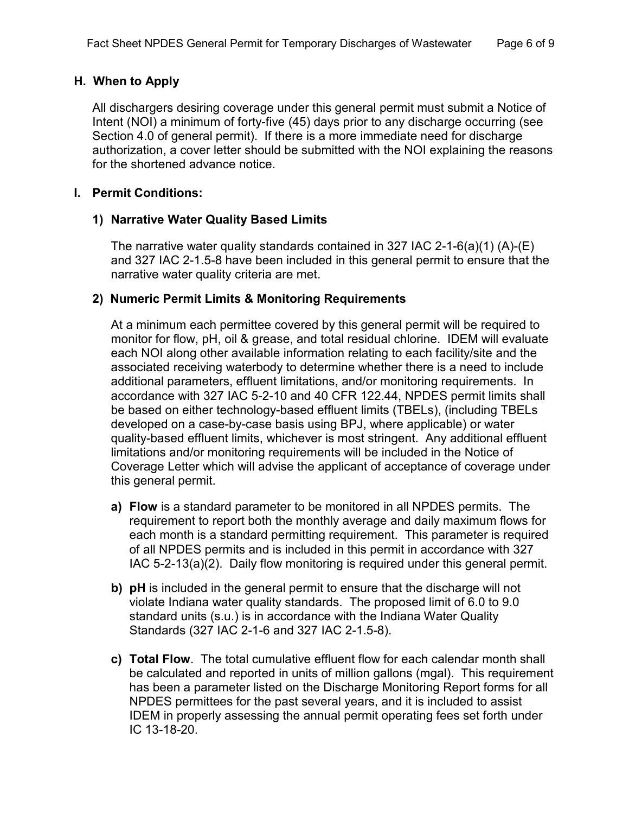## **H. When to Apply**

All dischargers desiring coverage under this general permit must submit a Notice of Intent (NOI) a minimum of forty-five (45) days prior to any discharge occurring (see Section 4.0 of general permit). If there is a more immediate need for discharge authorization, a cover letter should be submitted with the NOI explaining the reasons for the shortened advance notice.

#### **I. Permit Conditions:**

#### **1) Narrative Water Quality Based Limits**

The narrative water quality standards contained in 327 IAC 2-1-6(a)(1) (A)-(E) and 327 IAC 2-1.5-8 have been included in this general permit to ensure that the narrative water quality criteria are met.

## **2) Numeric Permit Limits & Monitoring Requirements**

At a minimum each permittee covered by this general permit will be required to monitor for flow, pH, oil & grease, and total residual chlorine. IDEM will evaluate each NOI along other available information relating to each facility/site and the associated receiving waterbody to determine whether there is a need to include additional parameters, effluent limitations, and/or monitoring requirements. In accordance with 327 IAC 5-2-10 and 40 CFR 122.44, NPDES permit limits shall be based on either technology-based effluent limits (TBELs), (including TBELs developed on a case-by-case basis using BPJ, where applicable) or water quality-based effluent limits, whichever is most stringent. Any additional effluent limitations and/or monitoring requirements will be included in the Notice of Coverage Letter which will advise the applicant of acceptance of coverage under this general permit.

- **a) Flow** is a standard parameter to be monitored in all NPDES permits. The requirement to report both the monthly average and daily maximum flows for each month is a standard permitting requirement. This parameter is required of all NPDES permits and is included in this permit in accordance with 327 IAC 5-2-13(a)(2). Daily flow monitoring is required under this general permit.
- **b) pH** is included in the general permit to ensure that the discharge will not violate Indiana water quality standards. The proposed limit of 6.0 to 9.0 standard units (s.u.) is in accordance with the Indiana Water Quality Standards (327 IAC 2-1-6 and 327 IAC 2-1.5-8).
- **c) Total Flow**. The total cumulative effluent flow for each calendar month shall be calculated and reported in units of million gallons (mgal). This requirement has been a parameter listed on the Discharge Monitoring Report forms for all NPDES permittees for the past several years, and it is included to assist IDEM in properly assessing the annual permit operating fees set forth under IC 13-18-20.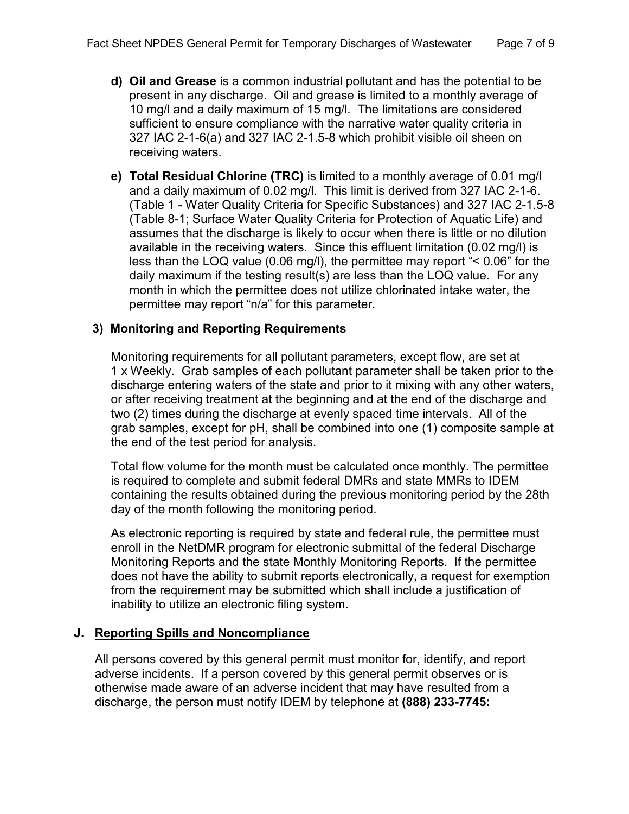- **d) Oil and Grease** is a common industrial pollutant and has the potential to be present in any discharge. Oil and grease is limited to a monthly average of 10 mg/l and a daily maximum of 15 mg/l. The limitations are considered sufficient to ensure compliance with the narrative water quality criteria in 327 IAC 2-1-6(a) and 327 IAC 2-1.5-8 which prohibit visible oil sheen on receiving waters.
- **e) Total Residual Chlorine (TRC)** is limited to a monthly average of 0.01 mg/l and a daily maximum of 0.02 mg/l. This limit is derived from 327 IAC 2-1-6. (Table 1 - Water Quality Criteria for Specific Substances) and 327 IAC 2-1.5-8 (Table 8-1; Surface Water Quality Criteria for Protection of Aquatic Life) and assumes that the discharge is likely to occur when there is little or no dilution available in the receiving waters. Since this effluent limitation (0.02 mg/l) is less than the LOQ value (0.06 mg/l), the permittee may report "< 0.06" for the daily maximum if the testing result(s) are less than the LOQ value. For any month in which the permittee does not utilize chlorinated intake water, the permittee may report "n/a" for this parameter.

# **3) Monitoring and Reporting Requirements**

Monitoring requirements for all pollutant parameters, except flow, are set at 1 x Weekly. Grab samples of each pollutant parameter shall be taken prior to the discharge entering waters of the state and prior to it mixing with any other waters, or after receiving treatment at the beginning and at the end of the discharge and two (2) times during the discharge at evenly spaced time intervals. All of the grab samples, except for pH, shall be combined into one (1) composite sample at the end of the test period for analysis.

Total flow volume for the month must be calculated once monthly. The permittee is required to complete and submit federal DMRs and state MMRs to IDEM containing the results obtained during the previous monitoring period by the 28th day of the month following the monitoring period.

As electronic reporting is required by state and federal rule, the permittee must enroll in the NetDMR program for electronic submittal of the federal Discharge Monitoring Reports and the state Monthly Monitoring Reports. If the permittee does not have the ability to submit reports electronically, a request for exemption from the requirement may be submitted which shall include a justification of inability to utilize an electronic filing system.

## **J. Reporting Spills and Noncompliance**

All persons covered by this general permit must monitor for, identify, and report adverse incidents. If a person covered by this general permit observes or is otherwise made aware of an adverse incident that may have resulted from a discharge, the person must notify IDEM by telephone at **(888) 233-7745:**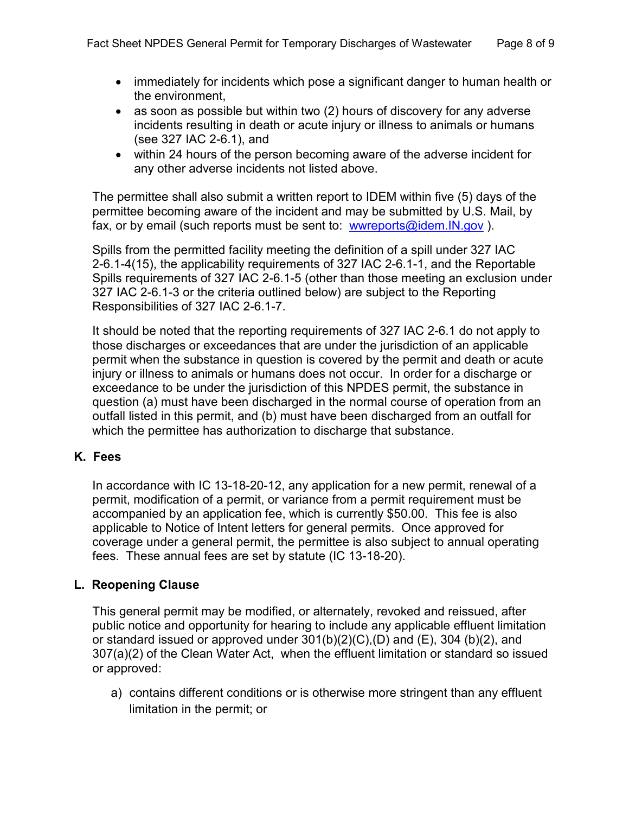- immediately for incidents which pose a significant danger to human health or the environment,
- as soon as possible but within two (2) hours of discovery for any adverse incidents resulting in death or acute injury or illness to animals or humans (see 327 IAC 2-6.1), and
- within 24 hours of the person becoming aware of the adverse incident for any other adverse incidents not listed above.

The permittee shall also submit a written report to IDEM within five (5) days of the permittee becoming aware of the incident and may be submitted by U.S. Mail, by fax, or by email (such reports must be sent to: [wwreports@idem.IN.gov](mailto:wwreports@idem.IN.gov)).

Spills from the permitted facility meeting the definition of a spill under 327 IAC 2-6.1-4(15), the applicability requirements of 327 IAC 2-6.1-1, and the Reportable Spills requirements of 327 IAC 2-6.1-5 (other than those meeting an exclusion under 327 IAC 2-6.1-3 or the criteria outlined below) are subject to the Reporting Responsibilities of 327 IAC 2-6.1-7.

It should be noted that the reporting requirements of 327 IAC 2-6.1 do not apply to those discharges or exceedances that are under the jurisdiction of an applicable permit when the substance in question is covered by the permit and death or acute injury or illness to animals or humans does not occur. In order for a discharge or exceedance to be under the jurisdiction of this NPDES permit, the substance in question (a) must have been discharged in the normal course of operation from an outfall listed in this permit, and (b) must have been discharged from an outfall for which the permittee has authorization to discharge that substance.

# **K. Fees**

In accordance with IC 13-18-20-12, any application for a new permit, renewal of a permit, modification of a permit, or variance from a permit requirement must be accompanied by an application fee, which is currently \$50.00. This fee is also applicable to Notice of Intent letters for general permits. Once approved for coverage under a general permit, the permittee is also subject to annual operating fees. These annual fees are set by statute (IC 13-18-20).

# **L. Reopening Clause**

This general permit may be modified, or alternately, revoked and reissued, after public notice and opportunity for hearing to include any applicable effluent limitation or standard issued or approved under  $301(b)(2)(C)$ , (D) and  $(E)$ , 304 (b)(2), and 307(a)(2) of the Clean Water Act, when the effluent limitation or standard so issued or approved:

a) contains different conditions or is otherwise more stringent than any effluent limitation in the permit; or